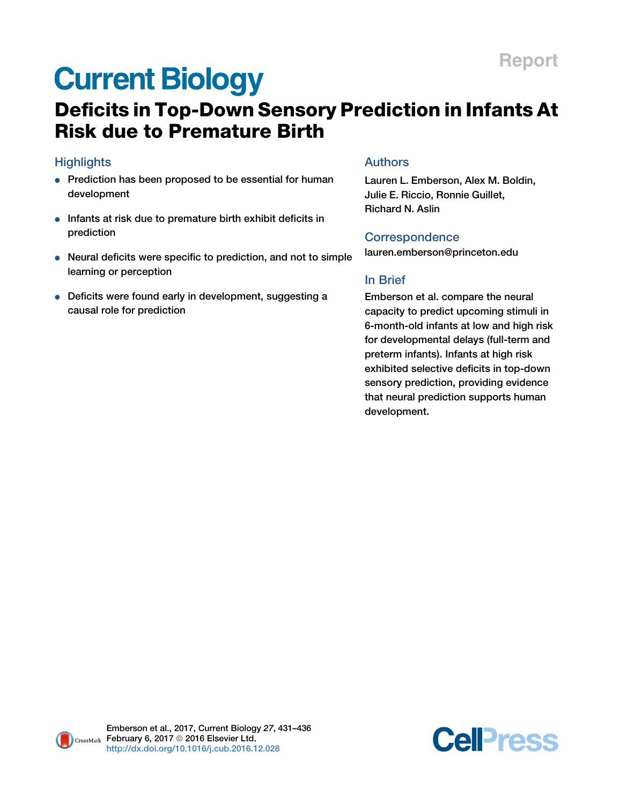# **Current Biology**

# Deficits in Top-Down Sensory Prediction in Infants At Risk due to Premature Birth

# **Highlights**

- Prediction has been proposed to be essential for human development
- $\bullet$  Infants at risk due to premature birth exhibit deficits in prediction
- Neural deficits were specific to prediction, and not to simple learning or perception
- Deficits were found early in development, suggesting a causal role for prediction

## Authors

Lauren L. Emberson, Alex M. Boldin, Julie E. Riccio, Ronnie Guillet, Richard N. Aslin

### **Correspondence**

[lauren.emberson@princeton.edu](mailto:lauren.emberson@princeton.edu)

### In Brief

Emberson et al. compare the neural capacity to predict upcoming stimuli in 6-month-old infants at low and high risk for developmental delays (full-term and preterm infants). Infants at high risk exhibited selective deficits in top-down sensory prediction, providing evidence that neural prediction supports human development.



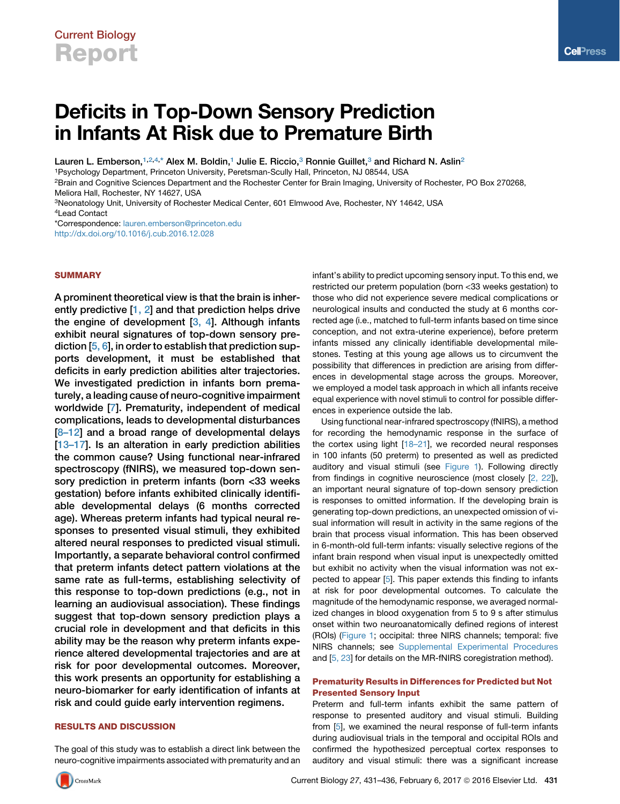# Deficits in Top-Down Sensory Prediction in Infants At Risk due to Premature Birth

Lauren L. Emberson, $^{1,2,4,*}$  $^{1,2,4,*}$  $^{1,2,4,*}$  $^{1,2,4,*}$  $^{1,2,4,*}$  $^{1,2,4,*}$  Alex M. Boldin, $^1$  Julie E. Riccio, $^3$  $^3$  Ronnie Guillet, $^3$  and Richard N. Aslin $^2$ 

<span id="page-1-0"></span>1Psychology Department, Princeton University, Peretsman-Scully Hall, Princeton, NJ 08544, USA

<span id="page-1-1"></span><sup>2</sup>Brain and Cognitive Sciences Department and the Rochester Center for Brain Imaging, University of Rochester, PO Box 270268, Meliora Hall, Rochester, NY 14627, USA

<span id="page-1-4"></span><span id="page-1-2"></span>3Neonatology Unit, University of Rochester Medical Center, 601 Elmwood Ave, Rochester, NY 14642, USA 4Lead Contact

<span id="page-1-3"></span>\*Correspondence: [lauren.emberson@princeton.edu](mailto:lauren.emberson@princeton.edu) <http://dx.doi.org/10.1016/j.cub.2016.12.028>

#### **SUMMARY**

A prominent theoretical view is that the brain is inherently predictive [\[1, 2\]](#page-5-0) and that prediction helps drive the engine of development  $[3, 4]$  $[3, 4]$ . Although infants exhibit neural signatures of top-down sensory prediction [\[5, 6\]](#page-5-2), in order to establish that prediction supports development, it must be established that deficits in early prediction abilities alter trajectories. We investigated prediction in infants born prematurely, a leading cause of neuro-cognitive impairment worldwide [\[7\]](#page-5-3). Prematurity, independent of medical complications, leads to developmental disturbances [8-12] and a broad range of developmental delays [\[13–17](#page-5-5)]. Is an alteration in early prediction abilities the common cause? Using functional near-infrared spectroscopy (fNIRS), we measured top-down sensory prediction in preterm infants (born <33 weeks gestation) before infants exhibited clinically identifiable developmental delays (6 months corrected age). Whereas preterm infants had typical neural responses to presented visual stimuli, they exhibited altered neural responses to predicted visual stimuli. Importantly, a separate behavioral control confirmed that preterm infants detect pattern violations at the same rate as full-terms, establishing selectivity of this response to top-down predictions (e.g., not in learning an audiovisual association). These findings suggest that top-down sensory prediction plays a crucial role in development and that deficits in this ability may be the reason why preterm infants experience altered developmental trajectories and are at risk for poor developmental outcomes. Moreover, this work presents an opportunity for establishing a neuro-biomarker for early identification of infants at risk and could guide early intervention regimens.

#### RESULTS AND DISCUSSION

The goal of this study was to establish a direct link between the neuro-cognitive impairments associated with prematurity and an infant's ability to predict upcoming sensory input. To this end, we restricted our preterm population (born <33 weeks gestation) to those who did not experience severe medical complications or neurological insults and conducted the study at 6 months corrected age (i.e., matched to full-term infants based on time since conception, and not extra-uterine experience), before preterm infants missed any clinically identifiable developmental milestones. Testing at this young age allows us to circumvent the possibility that differences in prediction are arising from differences in developmental stage across the groups. Moreover, we employed a model task approach in which all infants receive equal experience with novel stimuli to control for possible differences in experience outside the lab.

Using functional near-infrared spectroscopy (fNIRS), a method for recording the hemodynamic response in the surface of the cortex using light [\[18–21](#page-5-6)], we recorded neural responses in 100 infants (50 preterm) to presented as well as predicted auditory and visual stimuli (see [Figure 1\)](#page-2-0). Following directly from findings in cognitive neuroscience (most closely [[2, 22](#page-5-7)]), an important neural signature of top-down sensory prediction is responses to omitted information. If the developing brain is generating top-down predictions, an unexpected omission of visual information will result in activity in the same regions of the brain that process visual information. This has been observed in 6-month-old full-term infants: visually selective regions of the infant brain respond when visual input is unexpectedly omitted but exhibit no activity when the visual information was not expected to appear [\[5\]](#page-5-2). This paper extends this finding to infants at risk for poor developmental outcomes. To calculate the magnitude of the hemodynamic response, we averaged normalized changes in blood oxygenation from 5 to 9 s after stimulus onset within two neuroanatomically defined regions of interest (ROIs) ([Figure 1;](#page-2-0) occipital: three NIRS channels; temporal: five NIRS channels; see Supplemental Experimental Procedures and [[5, 23](#page-5-2)] for details on the MR-fNIRS coregistration method).

#### Prematurity Results in Differences for Predicted but Not Presented Sensory Input

Preterm and full-term infants exhibit the same pattern of response to presented auditory and visual stimuli. Building from [[5\]](#page-5-2), we examined the neural response of full-term infants during audiovisual trials in the temporal and occipital ROIs and confirmed the hypothesized perceptual cortex responses to auditory and visual stimuli: there was a significant increase

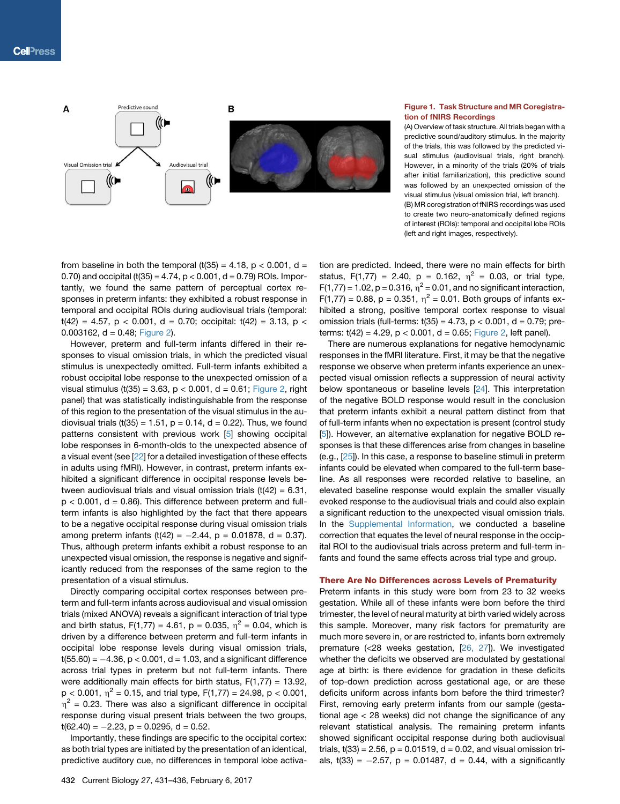<span id="page-2-0"></span>

#### Figure 1. Task Structure and MR Coregistration of fNIRS Recordings

(A) Overview of task structure. All trials began with a predictive sound/auditory stimulus. In the majority of the trials, this was followed by the predicted visual stimulus (audiovisual trials, right branch). However, in a minority of the trials (20% of trials after initial familiarization), this predictive sound was followed by an unexpected omission of the visual stimulus (visual omission trial, left branch). (B) MR coregistration of fNIRS recordings was used to create two neuro-anatomically defined regions of interest (ROIs): temporal and occipital lobe ROIs (left and right images, respectively).

from baseline in both the temporal  $(t(35) = 4.18, p < 0.001, d =$ 0.70) and occipital (t(35) = 4.74,  $p < 0.001$ , d = 0.79) ROIs. Importantly, we found the same pattern of perceptual cortex responses in preterm infants: they exhibited a robust response in temporal and occipital ROIs during audiovisual trials (temporal:  $t(42) = 4.57$ ,  $p < 0.001$ ,  $d = 0.70$ ; occipital:  $t(42) = 3.13$ ,  $p <$  $0.003162$ ,  $d = 0.48$ ; [Figure 2](#page-3-0)).

However, preterm and full-term infants differed in their responses to visual omission trials, in which the predicted visual stimulus is unexpectedly omitted. Full-term infants exhibited a robust occipital lobe response to the unexpected omission of a visual stimulus (t(35) = 3.63,  $p < 0.001$ ,  $d = 0.61$ ; [Figure 2](#page-3-0), right panel) that was statistically indistinguishable from the response of this region to the presentation of the visual stimulus in the audiovisual trials (t(35) = 1.51,  $p = 0.14$ ,  $d = 0.22$ ). Thus, we found patterns consistent with previous work [\[5\]](#page-5-2) showing occipital lobe responses in 6-month-olds to the unexpected absence of a visual event (see [[22\]](#page-5-8) for a detailed investigation of these effects in adults using fMRI). However, in contrast, preterm infants exhibited a significant difference in occipital response levels between audiovisual trials and visual omission trials  $(t(42) = 6.31)$ ,  $p < 0.001$ ,  $d = 0.86$ ). This difference between preterm and fullterm infants is also highlighted by the fact that there appears to be a negative occipital response during visual omission trials among preterm infants (t(42) =  $-2.44$ , p = 0.01878, d = 0.37). Thus, although preterm infants exhibit a robust response to an unexpected visual omission, the response is negative and significantly reduced from the responses of the same region to the presentation of a visual stimulus.

Directly comparing occipital cortex responses between preterm and full-term infants across audiovisual and visual omission trials (mixed ANOVA) reveals a significant interaction of trial type and birth status,  $F(1,77) = 4.61$ ,  $p = 0.035$ ,  $\eta^2 = 0.04$ , which is driven by a difference between preterm and full-term infants in occipital lobe response levels during visual omission trials,  $t(55.60) = -4.36$ ,  $p < 0.001$ ,  $d = 1.03$ , and a significant difference across trial types in preterm but not full-term infants. There were additionally main effects for birth status,  $F(1,77) = 13.92$ ,  $p < 0.001$ ,  $\eta^2 = 0.15$ , and trial type, F(1,77) = 24.98, p < 0.001,  $\eta^2$  = 0.23. There was also a significant difference in occipital response during visual present trials between the two groups,  $t(62.40) = -2.23$ ,  $p = 0.0295$ ,  $d = 0.52$ .

Importantly, these findings are specific to the occipital cortex: as both trial types are initiated by the presentation of an identical, predictive auditory cue, no differences in temporal lobe activa-

tion are predicted. Indeed, there were no main effects for birth status, F(1,77) = 2.40, p = 0.162,  $\eta^2$  = 0.03, or trial type,  $F(1,77) = 1.02$ ,  $p = 0.316$ ,  $\eta^2 = 0.01$ , and no significant interaction,  $F(1,77) = 0.88$ , p = 0.351,  $\eta^2 = 0.01$ . Both groups of infants exhibited a strong, positive temporal cortex response to visual omission trials (full-terms:  $t(35) = 4.73$ ,  $p < 0.001$ ,  $d = 0.79$ ; preterms:  $t(42) = 4.29$ ,  $p < 0.001$ ,  $d = 0.65$ ; [Figure 2](#page-3-0), left panel).

There are numerous explanations for negative hemodynamic responses in the fMRI literature. First, it may be that the negative response we observe when preterm infants experience an unexpected visual omission reflects a suppression of neural activity below spontaneous or baseline levels [[24](#page-5-9)]. This interpretation of the negative BOLD response would result in the conclusion that preterm infants exhibit a neural pattern distinct from that of full-term infants when no expectation is present (control study [\[5\]](#page-5-2)). However, an alternative explanation for negative BOLD responses is that these differences arise from changes in baseline (e.g., [[25](#page-5-10)]). In this case, a response to baseline stimuli in preterm infants could be elevated when compared to the full-term baseline. As all responses were recorded relative to baseline, an elevated baseline response would explain the smaller visually evoked response to the audiovisual trials and could also explain a significant reduction to the unexpected visual omission trials. In the [Supplemental Information,](#page-5-11) we conducted a baseline correction that equates the level of neural response in the occipital ROI to the audiovisual trials across preterm and full-term infants and found the same effects across trial type and group.

#### There Are No Differences across Levels of Prematurity

Preterm infants in this study were born from 23 to 32 weeks gestation. While all of these infants were born before the third trimester, the level of neural maturity at birth varied widely across this sample. Moreover, many risk factors for prematurity are much more severe in, or are restricted to, infants born extremely premature (<28 weeks gestation, [\[26, 27](#page-5-12)]). We investigated whether the deficits we observed are modulated by gestational age at birth: is there evidence for gradation in these deficits of top-down prediction across gestational age, or are these deficits uniform across infants born before the third trimester? First, removing early preterm infants from our sample (gestational age < 28 weeks) did not change the significance of any relevant statistical analysis. The remaining preterm infants showed significant occipital response during both audiovisual trials,  $t(33) = 2.56$ ,  $p = 0.01519$ ,  $d = 0.02$ , and visual omission trials,  $t(33) = -2.57$ ,  $p = 0.01487$ ,  $d = 0.44$ , with a significantly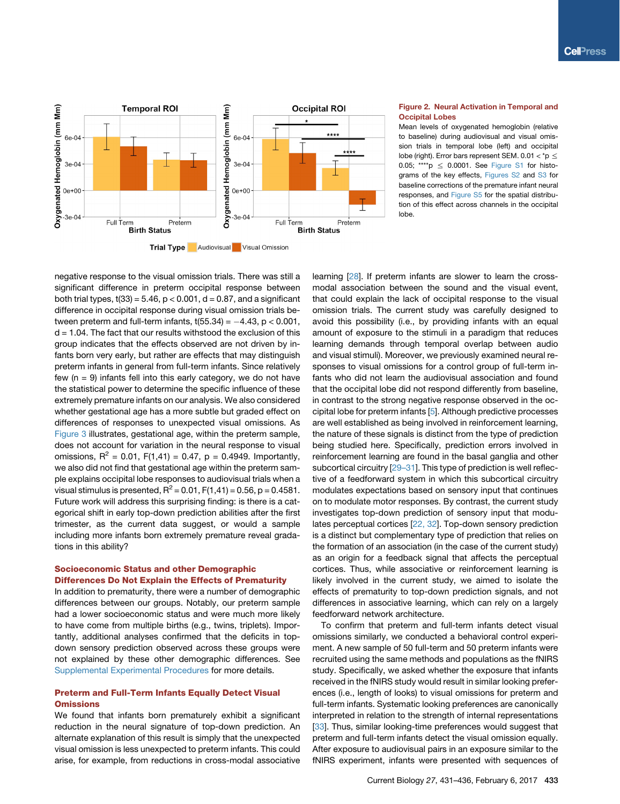<span id="page-3-0"></span>

#### Figure 2. Neural Activation in Temporal and Occipital Lobes

Mean levels of oxygenated hemoglobin (relative to baseline) during audiovisual and visual omission trials in temporal lobe (left) and occipital lobe (right). Error bars represent SEM.  $0.01 <$ \*p  $\leq$ 0.05; \*\*\*\*p  $\leq$  0.0001. See Figure S1 for histograms of the key effects, Figures S2 and S3 for baseline corrections of the premature infant neural responses, and Figure S5 for the spatial distribution of this effect across channels in the occipital lobe.

negative response to the visual omission trials. There was still a significant difference in preterm occipital response between both trial types,  $t(33) = 5.46$ ,  $p < 0.001$ ,  $d = 0.87$ , and a significant difference in occipital response during visual omission trials between preterm and full-term infants,  $t(55.34) = -4.43$ ,  $p < 0.001$ ,  $d = 1.04$ . The fact that our results withstood the exclusion of this group indicates that the effects observed are not driven by infants born very early, but rather are effects that may distinguish preterm infants in general from full-term infants. Since relatively few  $(n = 9)$  infants fell into this early category, we do not have the statistical power to determine the specific influence of these extremely premature infants on our analysis. We also considered whether gestational age has a more subtle but graded effect on differences of responses to unexpected visual omissions. As [Figure 3](#page-4-0) illustrates, gestational age, within the preterm sample, does not account for variation in the neural response to visual omissions,  $R^2 = 0.01$ ,  $F(1,41) = 0.47$ ,  $p = 0.4949$ . Importantly, we also did not find that gestational age within the preterm sample explains occipital lobe responses to audiovisual trials when a visual stimulus is presented,  $R^2 = 0.01$ ,  $F(1,41) = 0.56$ ,  $p = 0.4581$ . Future work will address this surprising finding: is there is a categorical shift in early top-down prediction abilities after the first trimester, as the current data suggest, or would a sample including more infants born extremely premature reveal gradations in this ability?

#### Socioeconomic Status and other Demographic Differences Do Not Explain the Effects of Prematurity

In addition to prematurity, there were a number of demographic differences between our groups. Notably, our preterm sample had a lower socioeconomic status and were much more likely to have come from multiple births (e.g., twins, triplets). Importantly, additional analyses confirmed that the deficits in topdown sensory prediction observed across these groups were not explained by these other demographic differences. See Supplemental Experimental Procedures for more details.

#### Preterm and Full-Term Infants Equally Detect Visual **Omissions**

We found that infants born prematurely exhibit a significant reduction in the neural signature of top-down prediction. An alternate explanation of this result is simply that the unexpected visual omission is less unexpected to preterm infants. This could arise, for example, from reductions in cross-modal associative learning [[28](#page-5-13)]. If preterm infants are slower to learn the crossmodal association between the sound and the visual event, that could explain the lack of occipital response to the visual omission trials. The current study was carefully designed to avoid this possibility (i.e., by providing infants with an equal amount of exposure to the stimuli in a paradigm that reduces learning demands through temporal overlap between audio and visual stimuli). Moreover, we previously examined neural responses to visual omissions for a control group of full-term infants who did not learn the audiovisual association and found that the occipital lobe did not respond differently from baseline, in contrast to the strong negative response observed in the occipital lobe for preterm infants [[5](#page-5-2)]. Although predictive processes are well established as being involved in reinforcement learning, the nature of these signals is distinct from the type of prediction being studied here. Specifically, prediction errors involved in reinforcement learning are found in the basal ganglia and other subcortical circuitry [[29–31](#page-5-14)]. This type of prediction is well reflective of a feedforward system in which this subcortical circuitry modulates expectations based on sensory input that continues on to modulate motor responses. By contrast, the current study investigates top-down prediction of sensory input that modulates perceptual cortices [[22, 32](#page-5-8)]. Top-down sensory prediction is a distinct but complementary type of prediction that relies on the formation of an association (in the case of the current study) as an origin for a feedback signal that affects the perceptual cortices. Thus, while associative or reinforcement learning is likely involved in the current study, we aimed to isolate the effects of prematurity to top-down prediction signals, and not differences in associative learning, which can rely on a largely feedforward network architecture.

To confirm that preterm and full-term infants detect visual omissions similarly, we conducted a behavioral control experiment. A new sample of 50 full-term and 50 preterm infants were recruited using the same methods and populations as the fNIRS study. Specifically, we asked whether the exposure that infants received in the fNIRS study would result in similar looking preferences (i.e., length of looks) to visual omissions for preterm and full-term infants. Systematic looking preferences are canonically interpreted in relation to the strength of internal representations [\[33\]](#page-6-0). Thus, similar looking-time preferences would suggest that preterm and full-term infants detect the visual omission equally. After exposure to audiovisual pairs in an exposure similar to the fNIRS experiment, infants were presented with sequences of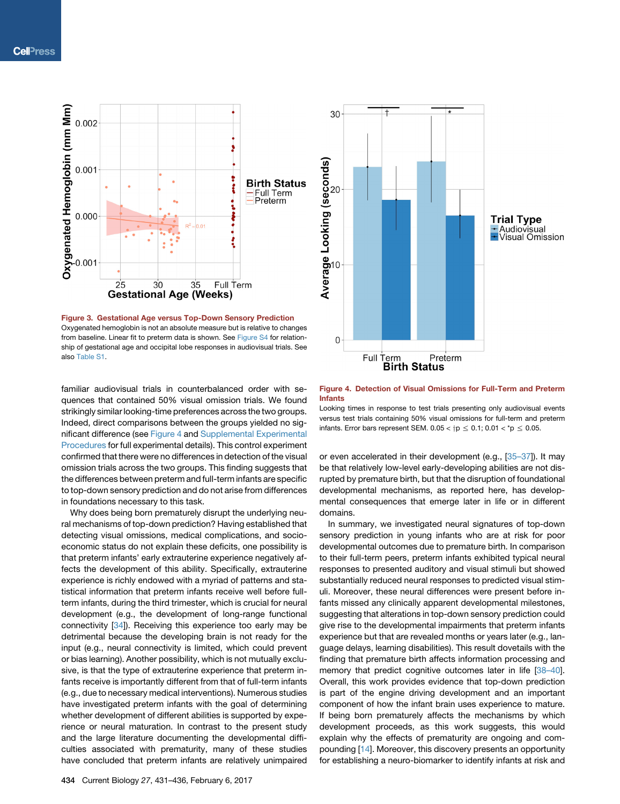<span id="page-4-0"></span>

Figure 3. Gestational Age versus Top-Down Sensory Prediction Oxygenated hemoglobin is not an absolute measure but is relative to changes from baseline. Linear fit to preterm data is shown. See Figure S4 for relationship of gestational age and occipital lobe responses in audiovisual trials. See also Table S1.

familiar audiovisual trials in counterbalanced order with sequences that contained 50% visual omission trials. We found strikingly similar looking-time preferences across the two groups. Indeed, direct comparisons between the groups yielded no sig-nificant difference (see [Figure 4](#page-4-1) and Supplemental Experimental Procedures for full experimental details). This control experiment confirmed that there were no differences in detection of the visual omission trials across the two groups. This finding suggests that the differences between preterm and full-term infants are specific to top-down sensory prediction and do not arise from differences in foundations necessary to this task.

Why does being born prematurely disrupt the underlying neural mechanisms of top-down prediction? Having established that detecting visual omissions, medical complications, and socioeconomic status do not explain these deficits, one possibility is that preterm infants' early extrauterine experience negatively affects the development of this ability. Specifically, extrauterine experience is richly endowed with a myriad of patterns and statistical information that preterm infants receive well before fullterm infants, during the third trimester, which is crucial for neural development (e.g., the development of long-range functional connectivity [[34](#page-6-1)]). Receiving this experience too early may be detrimental because the developing brain is not ready for the input (e.g., neural connectivity is limited, which could prevent or bias learning). Another possibility, which is not mutually exclusive, is that the type of extrauterine experience that preterm infants receive is importantly different from that of full-term infants (e.g., due to necessary medical interventions). Numerous studies have investigated preterm infants with the goal of determining whether development of different abilities is supported by experience or neural maturation. In contrast to the present study and the large literature documenting the developmental difficulties associated with prematurity, many of these studies have concluded that preterm infants are relatively unimpaired

<span id="page-4-1"></span>

Figure 4. Detection of Visual Omissions for Full-Term and Preterm Infants

Looking times in response to test trials presenting only audiovisual events versus test trials containing 50% visual omissions for full-term and preterm infants. Error bars represent SEM.  $0.05 < p \le 0.1$ ;  $0.01 < p \le 0.05$ .

or even accelerated in their development (e.g., [[35–37\]](#page-6-2)). It may be that relatively low-level early-developing abilities are not disrupted by premature birth, but that the disruption of foundational developmental mechanisms, as reported here, has developmental consequences that emerge later in life or in different domains.

In summary, we investigated neural signatures of top-down sensory prediction in young infants who are at risk for poor developmental outcomes due to premature birth. In comparison to their full-term peers, preterm infants exhibited typical neural responses to presented auditory and visual stimuli but showed substantially reduced neural responses to predicted visual stimuli. Moreover, these neural differences were present before infants missed any clinically apparent developmental milestones, suggesting that alterations in top-down sensory prediction could give rise to the developmental impairments that preterm infants experience but that are revealed months or years later (e.g., language delays, learning disabilities). This result dovetails with the finding that premature birth affects information processing and memory that predict cognitive outcomes later in life [38-40]. Overall, this work provides evidence that top-down prediction is part of the engine driving development and an important component of how the infant brain uses experience to mature. If being born prematurely affects the mechanisms by which development proceeds, as this work suggests, this would explain why the effects of prematurity are ongoing and compounding [[14\]](#page-5-15). Moreover, this discovery presents an opportunity for establishing a neuro-biomarker to identify infants at risk and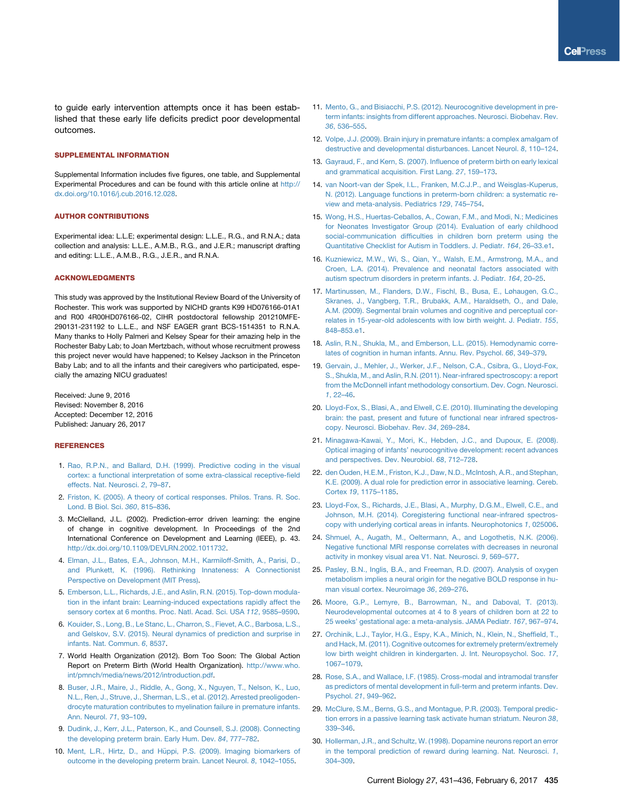to guide early intervention attempts once it has been established that these early life deficits predict poor developmental outcomes.

#### <span id="page-5-11"></span>SUPPLEMENTAL INFORMATION

Supplemental Information includes five figures, one table, and Supplemental Experimental Procedures and can be found with this article online at [http://](http://dx.doi.org/10.1016/j.cub.2016.12.028) [dx.doi.org/10.1016/j.cub.2016.12.028](http://dx.doi.org/10.1016/j.cub.2016.12.028).

#### AUTHOR CONTRIBUTIONS

Experimental idea: L.L.E; experimental design: L.L.E., R.G., and R.N.A.; data collection and analysis: L.L.E., A.M.B., R.G., and J.E.R.; manuscript drafting and editing: L.L.E., A.M.B., R.G., J.E.R., and R.N.A.

#### ACKNOWLEDGMENTS

This study was approved by the Institutional Review Board of the University of Rochester. This work was supported by NICHD grants K99 HD076166-01A1 and R00 4R00HD076166-02, CIHR postdoctoral fellowship 201210MFE-290131-231192 to L.L.E., and NSF EAGER grant BCS-1514351 to R.N.A. Many thanks to Holly Palmeri and Kelsey Spear for their amazing help in the Rochester Baby Lab; to Joan Mertzbach, without whose recruitment prowess this project never would have happened; to Kelsey Jackson in the Princeton Baby Lab; and to all the infants and their caregivers who participated, especially the amazing NICU graduates!

Received: June 9, 2016 Revised: November 8, 2016 Accepted: December 12, 2016 Published: January 26, 2017

#### <span id="page-5-0"></span>**REFERENCES**

- 1. [Rao, R.P.N., and Ballard, D.H. \(1999\). Predictive coding in the visual](http://refhub.elsevier.com/S0960-9822(16)31508-1/sref1) [cortex: a functional interpretation of some extra-classical receptive-field](http://refhub.elsevier.com/S0960-9822(16)31508-1/sref1) [effects. Nat. Neurosci.](http://refhub.elsevier.com/S0960-9822(16)31508-1/sref1) *2*, 79–87.
- <span id="page-5-7"></span><span id="page-5-1"></span>2. [Friston, K. \(2005\). A theory of cortical responses. Philos. Trans. R. Soc.](http://refhub.elsevier.com/S0960-9822(16)31508-1/sref2) [Lond. B Biol. Sci.](http://refhub.elsevier.com/S0960-9822(16)31508-1/sref2) *360*, 815–836.
- 3. McClelland, J.L. (2002). Prediction-error driven learning: the engine of change in cognitive development. In Proceedings of the 2nd International Conference on Development and Learning (IEEE), p. 43. [http://dx.doi.org/10.1109/DEVLRN.2002.1011732.](http://dx.doi.org/10.1109/DEVLRN.2002.1011732)
- <span id="page-5-2"></span>4. [Elman, J.L., Bates, E.A., Johnson, M.H., Karmiloff-Smith, A., Parisi, D.,](http://refhub.elsevier.com/S0960-9822(16)31508-1/sref4) [and Plunkett, K. \(1996\). Rethinking Innateness: A Connectionist](http://refhub.elsevier.com/S0960-9822(16)31508-1/sref4) [Perspective on Development \(MIT Press\).](http://refhub.elsevier.com/S0960-9822(16)31508-1/sref4)
- 5. [Emberson, L.L., Richards, J.E., and Aslin, R.N. \(2015\). Top-down modula](http://refhub.elsevier.com/S0960-9822(16)31508-1/sref5)[tion in the infant brain: Learning-induced expectations rapidly affect the](http://refhub.elsevier.com/S0960-9822(16)31508-1/sref5) [sensory cortex at 6 months. Proc. Natl. Acad. Sci. USA](http://refhub.elsevier.com/S0960-9822(16)31508-1/sref5) *112*, 9585–9590.
- <span id="page-5-3"></span>6. [Kouider, S., Long, B., Le Stanc, L., Charron, S., Fievet, A.C., Barbosa, L.S.,](http://refhub.elsevier.com/S0960-9822(16)31508-1/sref6) [and Gelskov, S.V. \(2015\). Neural dynamics of prediction and surprise in](http://refhub.elsevier.com/S0960-9822(16)31508-1/sref6) [infants. Nat. Commun.](http://refhub.elsevier.com/S0960-9822(16)31508-1/sref6) *6*, 8537.
- <span id="page-5-4"></span>7. World Health Organization (2012). Born Too Soon: The Global Action Report on Preterm Birth (World Health Organization). [http://www.who.](http://www.who.int/pmnch/media/news/2012/introduction.pdf) [int/pmnch/media/news/2012/introduction.pdf](http://www.who.int/pmnch/media/news/2012/introduction.pdf).
- 8. [Buser, J.R., Maire, J., Riddle, A., Gong, X., Nguyen, T., Nelson, K., Luo,](http://refhub.elsevier.com/S0960-9822(16)31508-1/sref8) [N.L., Ren, J., Struve, J., Sherman, L.S., et al. \(2012\). Arrested preoligoden](http://refhub.elsevier.com/S0960-9822(16)31508-1/sref8)[drocyte maturation contributes to myelination failure in premature infants.](http://refhub.elsevier.com/S0960-9822(16)31508-1/sref8) [Ann. Neurol.](http://refhub.elsevier.com/S0960-9822(16)31508-1/sref8) *71*, 93–109.
- 9. [Dudink, J., Kerr, J.L., Paterson, K., and Counsell, S.J. \(2008\). Connecting](http://refhub.elsevier.com/S0960-9822(16)31508-1/sref9) [the developing preterm brain. Early Hum. Dev.](http://refhub.elsevier.com/S0960-9822(16)31508-1/sref9) *84*, 777–782.
- 10. Ment, L.R., Hirtz, D., and Hü[ppi, P.S. \(2009\). Imaging biomarkers of](http://refhub.elsevier.com/S0960-9822(16)31508-1/sref10) [outcome in the developing preterm brain. Lancet Neurol.](http://refhub.elsevier.com/S0960-9822(16)31508-1/sref10) *8*, 1042–1055.
- 11. [Mento, G., and Bisiacchi, P.S. \(2012\). Neurocognitive development in pre](http://refhub.elsevier.com/S0960-9822(16)31508-1/sref11)[term infants: insights from different approaches. Neurosci. Biobehav. Rev.](http://refhub.elsevier.com/S0960-9822(16)31508-1/sref11) *36*[, 536–555](http://refhub.elsevier.com/S0960-9822(16)31508-1/sref11).
- 12. [Volpe, J.J. \(2009\). Brain injury in premature infants: a complex amalgam of](http://refhub.elsevier.com/S0960-9822(16)31508-1/sref12) [destructive and developmental disturbances. Lancet Neurol.](http://refhub.elsevier.com/S0960-9822(16)31508-1/sref12) *8*, 110–124.
- <span id="page-5-5"></span>13. [Gayraud, F., and Kern, S. \(2007\). Influence of preterm birth on early lexical](http://refhub.elsevier.com/S0960-9822(16)31508-1/sref13) [and grammatical acquisition. First Lang.](http://refhub.elsevier.com/S0960-9822(16)31508-1/sref13) *27*, 159–173.
- <span id="page-5-15"></span>14. [van Noort-van der Spek, I.L., Franken, M.C.J.P., and Weisglas-Kuperus,](http://refhub.elsevier.com/S0960-9822(16)31508-1/sref14) [N. \(2012\). Language functions in preterm-born children: a systematic re](http://refhub.elsevier.com/S0960-9822(16)31508-1/sref14)[view and meta-analysis. Pediatrics](http://refhub.elsevier.com/S0960-9822(16)31508-1/sref14) *129*, 745–754.
- 15. [Wong, H.S., Huertas-Ceballos, A., Cowan, F.M., and Modi, N.; Medicines](http://refhub.elsevier.com/S0960-9822(16)31508-1/sref15) [for Neonates Investigator Group \(2014\). Evaluation of early childhood](http://refhub.elsevier.com/S0960-9822(16)31508-1/sref15) [social-communication difficulties in children born preterm using the](http://refhub.elsevier.com/S0960-9822(16)31508-1/sref15) [Quantitative Checklist for Autism in Toddlers. J. Pediatr.](http://refhub.elsevier.com/S0960-9822(16)31508-1/sref15) *164*, 26–33.e1.
- 16. [Kuzniewicz, M.W., Wi, S., Qian, Y., Walsh, E.M., Armstrong, M.A., and](http://refhub.elsevier.com/S0960-9822(16)31508-1/sref16) [Croen, L.A. \(2014\). Prevalence and neonatal factors associated with](http://refhub.elsevier.com/S0960-9822(16)31508-1/sref16) [autism spectrum disorders in preterm infants. J. Pediatr.](http://refhub.elsevier.com/S0960-9822(16)31508-1/sref16) *164*, 20–25.
- 17. [Martinussen, M., Flanders, D.W., Fischl, B., Busa, E., Løhaugen, G.C.,](http://refhub.elsevier.com/S0960-9822(16)31508-1/sref17) [Skranes, J., Vangberg, T.R., Brubakk, A.M., Haraldseth, O., and Dale,](http://refhub.elsevier.com/S0960-9822(16)31508-1/sref17) [A.M. \(2009\). Segmental brain volumes and cognitive and perceptual cor](http://refhub.elsevier.com/S0960-9822(16)31508-1/sref17)[relates in 15-year-old adolescents with low birth weight. J. Pediatr.](http://refhub.elsevier.com/S0960-9822(16)31508-1/sref17) *155*, [848–853.e1](http://refhub.elsevier.com/S0960-9822(16)31508-1/sref17).
- <span id="page-5-6"></span>18. [Aslin, R.N., Shukla, M., and Emberson, L.L. \(2015\). Hemodynamic corre](http://refhub.elsevier.com/S0960-9822(16)31508-1/sref18)[lates of cognition in human infants. Annu. Rev. Psychol.](http://refhub.elsevier.com/S0960-9822(16)31508-1/sref18) *66*, 349–379.
- 19. [Gervain, J., Mehler, J., Werker, J.F., Nelson, C.A., Csibra, G., Lloyd-Fox,](http://refhub.elsevier.com/S0960-9822(16)31508-1/sref19) [S., Shukla, M., and Aslin, R.N. \(2011\). Near-infrared spectroscopy: a report](http://refhub.elsevier.com/S0960-9822(16)31508-1/sref19) [from the McDonnell infant methodology consortium. Dev. Cogn. Neurosci.](http://refhub.elsevier.com/S0960-9822(16)31508-1/sref19) *1*[, 22–46.](http://refhub.elsevier.com/S0960-9822(16)31508-1/sref19)
- 20. [Lloyd-Fox, S., Blasi, A., and Elwell, C.E. \(2010\). Illuminating the developing](http://refhub.elsevier.com/S0960-9822(16)31508-1/sref20) [brain: the past, present and future of functional near infrared spectros](http://refhub.elsevier.com/S0960-9822(16)31508-1/sref20)[copy. Neurosci. Biobehav. Rev.](http://refhub.elsevier.com/S0960-9822(16)31508-1/sref20) *34*, 269–284.
- 21. [Minagawa-Kawai, Y., Mori, K., Hebden, J.C., and Dupoux, E. \(2008\).](http://refhub.elsevier.com/S0960-9822(16)31508-1/sref21) [Optical imaging of infants' neurocognitive development: recent advances](http://refhub.elsevier.com/S0960-9822(16)31508-1/sref21) [and perspectives. Dev. Neurobiol.](http://refhub.elsevier.com/S0960-9822(16)31508-1/sref21) *68*, 712–728.
- <span id="page-5-8"></span>22. [den Ouden, H.E.M., Friston, K.J., Daw, N.D., McIntosh, A.R., and Stephan,](http://refhub.elsevier.com/S0960-9822(16)31508-1/sref22) [K.E. \(2009\). A dual role for prediction error in associative learning. Cereb.](http://refhub.elsevier.com/S0960-9822(16)31508-1/sref22) Cortex *19*[, 1175–1185.](http://refhub.elsevier.com/S0960-9822(16)31508-1/sref22)
- 23. [Lloyd-Fox, S., Richards, J.E., Blasi, A., Murphy, D.G.M., Elwell, C.E., and](http://refhub.elsevier.com/S0960-9822(16)31508-1/sref23) [Johnson, M.H. \(2014\). Coregistering functional near-infrared spectros](http://refhub.elsevier.com/S0960-9822(16)31508-1/sref23)[copy with underlying cortical areas in infants. Neurophotonics](http://refhub.elsevier.com/S0960-9822(16)31508-1/sref23) *1*, 025006.
- <span id="page-5-10"></span><span id="page-5-9"></span>24. [Shmuel, A., Augath, M., Oeltermann, A., and Logothetis, N.K. \(2006\).](http://refhub.elsevier.com/S0960-9822(16)31508-1/sref24) [Negative functional MRI response correlates with decreases in neuronal](http://refhub.elsevier.com/S0960-9822(16)31508-1/sref24) [activity in monkey visual area V1. Nat. Neurosci.](http://refhub.elsevier.com/S0960-9822(16)31508-1/sref24) *9*, 569–577.
- <span id="page-5-12"></span>25. [Pasley, B.N., Inglis, B.A., and Freeman, R.D. \(2007\). Analysis of oxygen](http://refhub.elsevier.com/S0960-9822(16)31508-1/sref25) [metabolism implies a neural origin for the negative BOLD response in hu](http://refhub.elsevier.com/S0960-9822(16)31508-1/sref25)[man visual cortex. Neuroimage](http://refhub.elsevier.com/S0960-9822(16)31508-1/sref25) *36*, 269–276.
- 26. [Moore, G.P., Lemyre, B., Barrowman, N., and Daboval, T. \(2013\).](http://refhub.elsevier.com/S0960-9822(16)31508-1/sref26) [Neurodevelopmental outcomes at 4 to 8 years of children born at 22 to](http://refhub.elsevier.com/S0960-9822(16)31508-1/sref26) [25 weeks' gestational age: a meta-analysis. JAMA Pediatr.](http://refhub.elsevier.com/S0960-9822(16)31508-1/sref26) *167*, 967–974.
- 27. [Orchinik, L.J., Taylor, H.G., Espy, K.A., Minich, N., Klein, N., Sheffield, T.,](http://refhub.elsevier.com/S0960-9822(16)31508-1/sref27) [and Hack, M. \(2011\). Cognitive outcomes for extremely preterm/extremely](http://refhub.elsevier.com/S0960-9822(16)31508-1/sref27) [low birth weight children in kindergarten. J. Int. Neuropsychol. Soc.](http://refhub.elsevier.com/S0960-9822(16)31508-1/sref27) *17*, [1067–1079](http://refhub.elsevier.com/S0960-9822(16)31508-1/sref27).
- <span id="page-5-14"></span><span id="page-5-13"></span>28. [Rose, S.A., and Wallace, I.F. \(1985\). Cross-modal and intramodal transfer](http://refhub.elsevier.com/S0960-9822(16)31508-1/sref28) [as predictors of mental development in full-term and preterm infants. Dev.](http://refhub.elsevier.com/S0960-9822(16)31508-1/sref28) Psychol. *21*[, 949–962.](http://refhub.elsevier.com/S0960-9822(16)31508-1/sref28)
- 29. [McClure, S.M., Berns, G.S., and Montague, P.R. \(2003\). Temporal predic](http://refhub.elsevier.com/S0960-9822(16)31508-1/sref29)[tion errors in a passive learning task activate human striatum. Neuron](http://refhub.elsevier.com/S0960-9822(16)31508-1/sref29) *38*, [339–346](http://refhub.elsevier.com/S0960-9822(16)31508-1/sref29).
- 30. [Hollerman, J.R., and Schultz, W. \(1998\). Dopamine neurons report an error](http://refhub.elsevier.com/S0960-9822(16)31508-1/sref30) [in the temporal prediction of reward during learning. Nat. Neurosci.](http://refhub.elsevier.com/S0960-9822(16)31508-1/sref30) *1*, [304–309](http://refhub.elsevier.com/S0960-9822(16)31508-1/sref30).